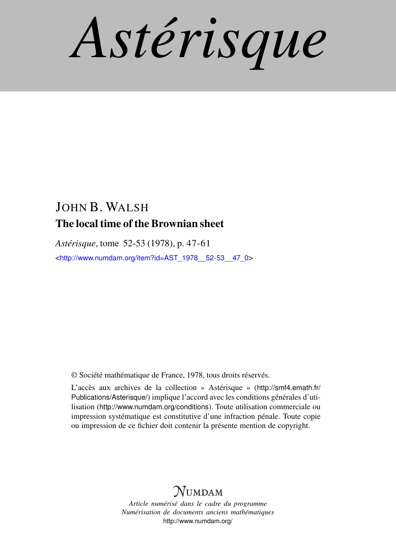*Astérisque*

# JOHN B. WALSH The local time of the Brownian sheet

*Astérisque*, tome 52-53 (1978), p. 47-61 <[http://www.numdam.org/item?id=AST\\_1978\\_\\_52-53\\_\\_47\\_0](http://www.numdam.org/item?id=AST_1978__52-53__47_0)>

© Société mathématique de France, 1978, tous droits réservés.

L'accès aux archives de la collection « Astérisque » ([http://smf4.emath.fr/](http://smf4.emath.fr/Publications/Asterisque/) [Publications/Asterisque/](http://smf4.emath.fr/Publications/Asterisque/)) implique l'accord avec les conditions générales d'utilisation (<http://www.numdam.org/conditions>). Toute utilisation commerciale ou impression systématique est constitutive d'une infraction pénale. Toute copie ou impression de ce fichier doit contenir la présente mention de copyright.

# **NUMDAM**

*Article numérisé dans le cadre du programme Numérisation de documents anciens mathématiques* <http://www.numdam.org/>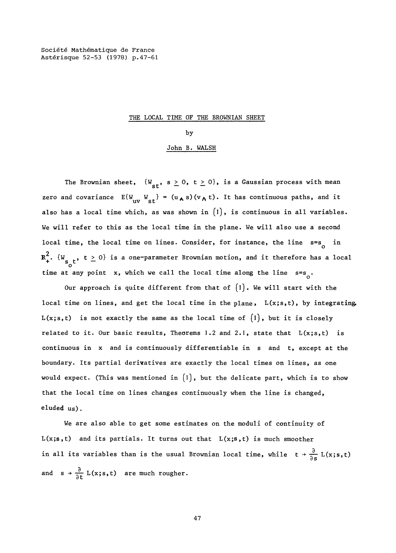**Société Mathématique de France Astérisque 52-53 (1978) p. 47-61** 

#### THE LOCAL TIME OF THE BROWNIAN SHEET

#### by

### John B. WALSH

The Brownian sheet,  $\{W_{st}, s \geq 0, t \geq 0\}$ , is a Gaussian process with mean zero and covariance  $E\{W_{UV}W_{st}\} = (u_A s)(v_A t)$ . It has continuous paths, and it uvs to the *' ' ' ' ' ' ' '*  $\sim$  '  $\sim$  '  $\sim$  '  $\sim$  '  $\sim$  '  $\sim$  '  $\sim$  '  $\sim$  '  $\sim$  '  $\sim$  '  $\sim$  '  $\sim$  '  $\sim$  '  $\sim$  '  $\sim$  '  $\sim$  '  $\sim$  '  $\sim$  '  $\sim$  '  $\sim$  '  $\sim$  '  $\sim$  '  $\sim$  '  $\sim$  '  $\sim$  '  $\sim$  '  $\sim$  '  $\sim$ also has a local time which, as was shown in  $\texttt\{I\}$ , is continuous in all variables. We will refer to this as the local time in the plane. We will also use a second local time, the local time on lines. Consider, for instance, the line  $\,$ s=s in 2  $R_+$ ,  $R_{s}$  ,  $t \le 0$  is a one-parameter Brownian motion, and it therefore has a local time at any point x, which we call the local time along the line  $s=s_0$ .

time at any point x, which we call the line of line time along the line of line state along the line local time on lines, and get the local time in the plane,  $L(x; s, t)$ , by integrating L(x;s,t) is not exactly the same as the local time of  $\{1\}$ , but it is closely related to it. Our basic results, Theorems 1.2 and 2.1, state that  $L(x; s, t)$  is continuous in x and is continuously differentiable in s and t, except at the boundary. Its partial derivatives are exactly the local times on lines, as one would expect. (This was mentioned in  $\lceil 1 \rceil$ , but the delicate part, which is to show that the local time on lines changes continuously when the line is changed.  $t$  that the local time on lines changes continuously when the lines changes continuously when the line is changed,  $\alpha$ 

We are also able to get some estimates on the moduli of continuity of  $L(x; s, t)$  and its partials. It turns out that  $L(x; s, t)$  is much smoother in all its variables than is the usual Brownian local time, while  $t \frac{\partial}{\partial s} L(x; s, t)$ in all its variables than is the usual Brownian local time, while the usual  $\mathcal{L}$ and  $s \rightarrow \frac{\partial}{\partial t} L(x; s, t)$  are much rougher.

**47**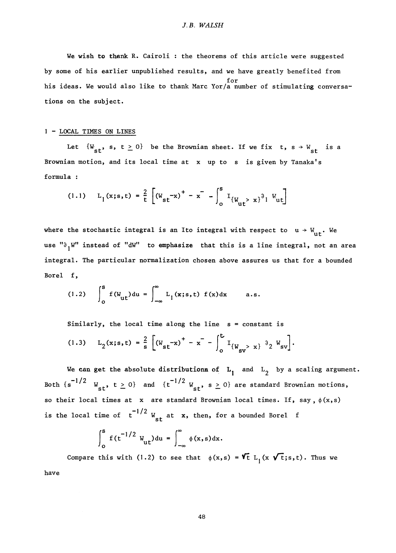We wish to thank R. Cairoli : the theorems of this article were suggested by some of his earlier unpublished results, and we have greatly benefited from for<br>his ideas. We would also like to thank Marc Yor/a number of stimulating conversahis ideas. We would also like to thank Marc Yor/a number of stimulating conversa-

### 1 - LOCAL TIMES ON LINES

Let  $\{W_{st}, s, t \geq 0\}$  be the Brownian sheet. If we fix  $t, s \rightarrow W_{st}$  is a Brownian motion, and its local time at x up to s is given by Tanaka's formula :

$$
(1.1) \quad L_1(x; s, t) = \frac{2}{t} \left[ (W_{st} - x)^+ - x^- - \int_0^s I_{\{W_{ut} > x\}}^3 \right] W_{ut}
$$

where the stochastic integral is an Ito integral with respect to  $u \rightarrow W_{\text{u}t}$ . We use " $\partial_1 W''$  instead of "dW" to emphasize that this is a line integral, not an area integral. The particular normalization chosen above assures us that for a bounded Borel f,

(1.2) 
$$
\int_{0}^{s} f(W_{ut}) du = \int_{-\infty}^{\infty} L_1(x; s, t) f(x) dx \quad a.s.
$$

Similarly, the local time along the line  $s = constant$  is

$$
(1.3) \qquad L_2(x;s,t) = \frac{2}{s} \left[ \left( W_{st} - x \right)^+ - x^- - \int_0^t I_{\{W_{sv} > x\}} \partial_2 W_{sv} \right].
$$

We can get the absolute distributions of  $L_1$  and  $L_2$  by a scaling argument. Both  $\{s^{-1/2} \mid W_{st}, t \ge 0\}$  and  $\{t^{-1/2} \mid W_{st}, s \ge 0\}$  are standard Brownian motions, so their local times at x are standard Brownian local times. If, say,  $\phi(x, s)$ is the local time of  $t^{-1/2}$   $W_{st}$  at  $x$ , then, for a bounded Borel f

$$
\int_0^s f(t^{-1/2} W_{\text{ut}}) du = \int_{-\infty}^\infty \phi(x, s) dx.
$$

Compare this with (1.2) to see that  $\phi(x,s) = \mathbf{V_t}$  L<sub>1</sub>(x  $\mathbf{V_t}$ ;s,t). Thus we have

**48**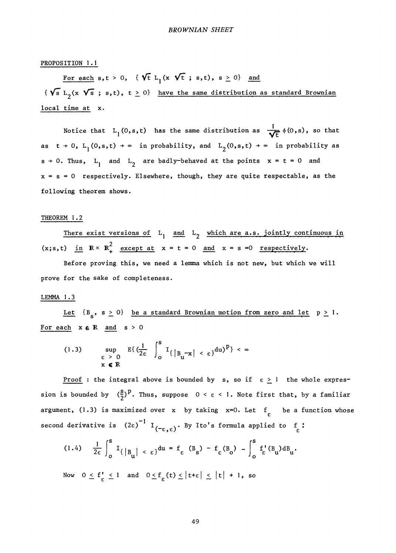### PROPOSITION 1.1

For each s,  $t > 0$ , {  $\sqrt{t}$  L<sub>1</sub>(x  $\sqrt{t}$ ; s,t), s  $\geq 0$ } and {  $\sqrt{s}$  L<sub>2</sub>(x  $\sqrt{s}$  ; s,t), t  $\geq$  0} have the same distribution as standard Brownian local time at x.

Notice that L<sub>1</sub>(0,s,t) has the same distribution as  $\frac{1}{\sqrt{t}} \phi(0,s)$ , so that as  $t \to 0$ ,  $L_1(0,s,t) \to \infty$  in probability, and  $L_2(0,s,t) \to \infty$  in probability as  $s \rightarrow 0$ . Thus, L<sub>1</sub> and L<sub>2</sub> are badly-behaved at the points  $x = t = 0$  and  $x = s = 0$  respectively. Elsewhere, though, they are quite respectable, as the following theorem shows.

### THEOREM 1.2

There exist versions of  $L_1$  and  $L_2$  which are a.s. jointly continuous in  $(x;s,t)$  in  $R \times R_+^2$  except at  $x = t = 0$  and  $x = s = 0$  respectively.

Before proving this, we need a lemma which is not new, but which we will prove for the sake of completeness.

# $\overline{\phantom{a}}$

Let  ${B_s, s \ge 0}$  be a standard Brownian motion from zero and let  $p \ge 1$ .<br>For each  $x \in \mathbb{R}$  and  $s > 0$ For each x e *~R* and s > 0

$$
(1.3) \quad \sup_{\varepsilon \to 0} E\left\{ \left( \frac{1}{2\varepsilon} \right)^s I_{\{ |B_u - x| < \varepsilon \}} du \right\}^p \left\} < \infty
$$

<u>Proof</u>: the integral above is bounded by s, so if  $\varepsilon \ge 1$  the whole expression is bounded by  $(\frac{s}{2})^p$ . Thus, suppose  $0 < \varepsilon < 1$ . Note first that, by a familiar argument, (1.3) is maximized over x by taking  $x=0$ . Let  $f_{c}$  be a function whose second derivative is  $(2\varepsilon)^{-1}$  I<sub>(-c c</sub>). By Ito's formula applied to f :

$$
(1.4) \quad \frac{1}{2\epsilon}\int_0^s \mathbf{I}_{\{B_{\mathbf{u}}\}<\epsilon\}} du = f_{\epsilon} (B_{\mathbf{s}}) - f_{\epsilon} (B_{\mathbf{o}}) - \int_0^s f_{\epsilon} (B_{\mathbf{u}}) dB_{\mathbf{u}}.
$$

Now  $0 \le f'_{\epsilon} \le 1$  and  $0 \le f_{\epsilon} (t) \le |t+\epsilon| \le |t| + 1$ , so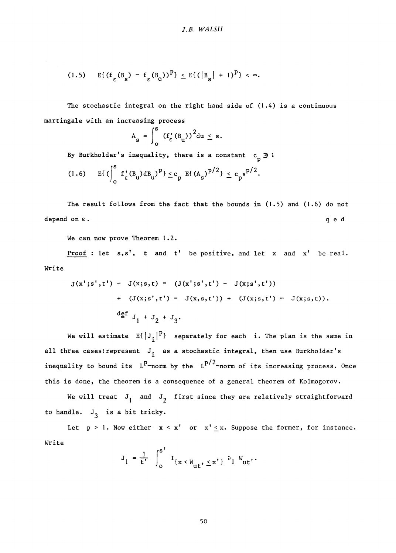$$
(1.5) \qquad \mathbb{E}\{(\mathbf{f}_{\varepsilon}(\mathbf{B}_{\mathbf{S}})-\mathbf{f}_{\varepsilon}(\mathbf{B}_{\mathbf{Q}}))^{\mathbf{p}}\} \leq \mathbb{E}\{(\mathbf{B}_{\mathbf{S}}|+1)^{\mathbf{p}}\} < \infty.
$$

The stochastic integral on the right hand side of  $(1.4)$  is a continuous martingale with an increasing process

$$
A_{s} = \int_{0}^{s} (f_{\varepsilon}^{t}(B_{u}))^{2} du \leq s.
$$

By Burkholder's inequality, there is a constant  $c^3$   $\frac{3}{5}$ 

$$
(1.6) \t E\{(\int_0^s f_{\varepsilon}^{\, \prime}(B_u)dB_u)^p\} \leq c_p E\{(A_s)^{p/2}\} \leq c_p s^{p/2}.
$$

The result follows from the fact that the bounds in (1.5) and (1.6) do not depend on  $\varepsilon$ .  $q e d$ 

We can now prove Theorem 1.2.

Proof : let  $s,s'$ , t and t' be positive, and let x and x' be real. Write

$$
J(x';s',t') - J(x;s,t) = (J(x';s',t') - J(x;s',t')) + (J(x;s,t') - J(x,s,t')) + (J(x;s,t') - J(x;s,t)).
$$
  

$$
\stackrel{\text{def}}{=} J_1 + J_2 + J_3.
$$

We will estimate  $E\{\left|J_i\right|^p\}$  separately for each i. The plan is the same in all three cases: represent  $J_i$  as a stochastic integral, then use Burkholder's inequality to bound its  $L^*$ -norm by the  $L^{*}$  -norm of its increasing process. Once this is done, the theorem is a consequence of a general theorem of Kolmogorov.

We will treat  $J_1$  and  $J_2$  first since they are relatively straightforward to handle.  $J_3$  is a bit tricky.

Let  $p > 1$ . Now either  $x < x'$  or  $x' \le x$ . Suppose the former, for instance. Write

$$
J_1 = \frac{1}{t^{r}} \int_0^{s^{r}} I_{\{x < W_{\text{u}t^{r}} \leq x^{r}\}} \partial_1 W_{\text{u}t^{r}}.
$$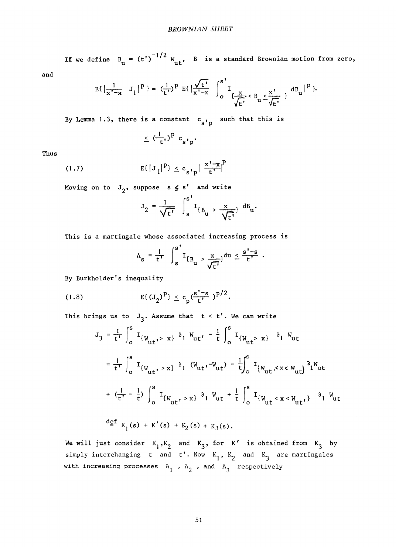-1 /2 If we define  $B^{\rm u}_{\rm u}$  (t) with  $B^{\rm u}$  is a standard Brownian motion from zero,

and

$$
E\{\left|\frac{1}{x^{T}-x} - J_1\right|^{p}\} = \left(\frac{1}{t^{T}}\right)^{p} E\{\left|\frac{\sqrt{t^{T}}}{x^{T}-x}\right| \int_{0}^{s^{T}} I_{\{\frac{X}{\sqrt{t^{T}}}} < B_u \leq \frac{x^{T}}{\sqrt{t^{T}}}\} dB_u\right|^{p}\}.
$$

By Lemma 1.3, there is a constant  $c_{s'p}$  such that this is

$$
\leq (\frac{1}{t})^p c_{s^1p}.
$$

Thus

(1.7) 
$$
E\{\left|J_{1}\right|^{p}\} \le c_{s^{\dagger}p} \left|\frac{x^{\dagger}-x}{t^{\dagger}}\right|^{p}
$$

Moving on to  $J_2$ , suppose s  $\leq s'$  and write

$$
J_2 = \frac{1}{\sqrt{t'}}
$$
  $\int_s^{s'} I_{\{B_u > \frac{x}{\sqrt{t'}}\}} d B_u$ .

This is a martingale whose associated increasing process is

$$
A_{s} = \frac{1}{t^{r}} \int_{s}^{s^{r}} I_{\{B_{u} > \frac{x}{\sqrt{t^{r}}}\}} du \leq \frac{s^{r} - s}{t^{r}}.
$$

By Burkholder's inequality

(1.8) 
$$
E\{(J_2)^p\} \le c_p \frac{(s'-s)}{t'} p^{p/2}.
$$

This brings us to  $J_3$ . Assume that  $t < t'$ . We can write

$$
J_{3} = \frac{1}{t^{r}} \int_{0}^{s} I_{\{W_{ut}, > x\}} \partial_{1} W_{ut} - \frac{1}{t} \int_{0}^{s} I_{\{W_{ut} > x\}} \partial_{1} W_{ut}
$$
  
\n
$$
= \frac{1}{t^{r}} \int_{0}^{s} I_{\{W_{ut}, > x\}} \partial_{1} (W_{ut}, -W_{ut}) - \frac{1}{t} \int_{0}^{s} I_{\{W_{ut}, < x < W_{ut}\}} \partial_{1} W_{ut}
$$
  
\n
$$
+ (\frac{1}{t^{r}} - \frac{1}{t}) \int_{0}^{s} I_{\{W_{ut}, > x\}} \partial_{1} W_{ut} + \frac{1}{t} \int_{0}^{s} I_{\{W_{ut} < x < W_{ut}\}} \partial_{1} W_{ut}
$$
  
\n
$$
\frac{d}{dt} K_{1}(s) + K'(s) + K_{2}(s) + K_{3}(s).
$$

We will just consider  $K_1, K_2$  and  $K_3$ , for K' is obtained from  $K_3$  by simply interchanging t and t'. Now  $K_1$ ,  $K_2$  and  $K_3$  are martingales with increasing processes  $A_1$ ,  $A_2$ , and  $A_3$  respectively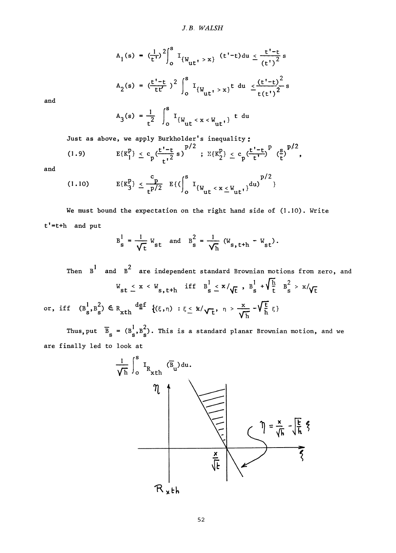$$
A_1(s) = \left(\frac{1}{t^{\tau}}\right)^2 \int_0^s I_{\{W_{\text{ut}}t\}} > x \} (t^{\tau}-t) du \le \frac{t^{\tau}-t}{(t^{\tau})^2} s
$$
  

$$
A_2(s) = \left(\frac{t^{\tau}-t}{t^{\tau}}\right)^2 \int_0^s I_{\{W_{\text{ut}}t\}} > x \} t \ du \le \frac{(t^{\tau}-t)^2}{t(t^{\tau})^2} s
$$

and

$$
A_3(s) = \frac{1}{t^2} \int_0^s I_{\{W_{\text{ut}} < x < W_{\text{ut}}\}} t \, du
$$

Just as above, we apply Burkholder's inequality:

(1.9) 
$$
E\{K_1^p\} \le c_p \frac{(t'-t)}{t'^2} s^{\frac{p}{2}}; E\{K_2^p\} \le c_p \frac{(t'-t)^p}{t'} \left(\frac{s}{t}\right)^{p/2},
$$

and

$$
(1.10) \t E\{K_3^p\} \leq \frac{c_p}{t^{p/2}} E\{(\int_0^s I_{\{W_{ut} < x \leq W_{ut}\}})^{d(u)}\}^{p/2}
$$

We must bound the expectation on the right hand side of (1.10). Write t <sup>f</sup>=t+h and put

$$
B_s^1 = \frac{1}{\sqrt{t}} W_{st}
$$
 and  $B_s^2 = \frac{1}{\sqrt{h}} (W_{s, t+h} - W_{st}).$ 

Then B<sup>1</sup> and B<sup>2</sup> are independent standard Brownian motions from zero, and  
\n
$$
W_{st} \le x \le W_{s,t+h}
$$
 iff  $B_s^1 \le x/\sqrt{t}$ ,  $B_s^1 + \sqrt{\frac{h}{t}} B_s^2 > x/\sqrt{t}$   
\nor, iff  $(B_s^1, B_s^2) \in R_{xth}$   $\frac{def}{=} \{(\xi, \eta) : \xi \le x/\sqrt{t}, \eta > \frac{x}{\sqrt{h}} - \sqrt{\frac{t}{h}} \xi\}$ 

Thus, put  $B_S = (B_S^{\dagger}, B_S^{\dagger})$ . This is a standard planar Brownian motion, and we are finally led to look at

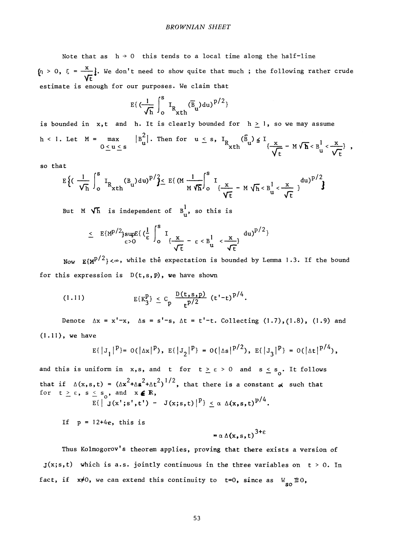Note that as  $h \rightarrow 0$  this tends to a local time along the half-line  $\{\eta > 0, \xi = \frac{\xi}{\eta}\}$ . We don't need to show quite that much ; the following rather crude Vt estimate is enough for our purposes. We claim that

$$
E\{\left(\frac{1}{\sqrt{h}}\int_0^s I_{R_{xth}}(\overline{B}_u) du\right)^{p/2}\}
$$

is bounded in x,t and h. It is clearly bounded for  $h \ge 1$ , so we may assume h < 1. Let M = max 0 <u><</u> u <u><</u> s  $|B_{1}^{-}|$ . Then for  $u \leq s$ ,  $I_{R}$   $(B_{1}^{-}) \leq I_{1}$   $\longrightarrow$   $I_{1}$  $\text{ with } \quad \frac{1}{2} - M \vee \textbf{h} < B_{11} < \frac{1}{2}$ 

so that

$$
E\Big\{ \Big(\frac{1}{\sqrt{h}}\int_{0}^{s} I_{R_{x}th}(\text{B}_{u}) du \Big)^{p} / \frac{2}{3} \leq E\Big(\text{M } \frac{1}{M\sqrt{h}}\Big)_{0}^{s} I_{\frac{x}{\sqrt{t}}} - M\sqrt{h} < B_{u}^{1} < \frac{x}{\sqrt{t}} \Big)^{du} \Big\}^{p/2}
$$

But M  $\sqrt{\hbar}$  is independent of  $B_{11}^1$ , so this is

$$
\leq E\{M^{p/2}\}\sup_{\epsilon>0}E\{(\frac{1}{\epsilon}\int_0^s I_{\{\frac{x}{\sqrt{t}}-\epsilon\leq B\frac{1}{u}<\frac{x}{\sqrt{t}}\}}du)^{p/2}\}
$$

Now  $\mathbb{E}\{\text{M}^{p/2}\}$ < $\infty$ , while the expectation is bounded by Lemma 1.3. If the bound for this expression is  $D(t, s, p)$ , we have shown

(1.11) 
$$
E\{K_3^p\} \leq C_p \frac{D(t,s,p)}{t^{p/2}} (t'-t)^{p/4}.
$$

Denote  $\Delta x = x' - x$ ,  $\Delta s = s' - s$ ,  $\Delta t = t' - t$ . Collecting  $(1.7)$ ,  $(1.8)$ ,  $(1.9)$  and (1.11), we have

$$
E\{\left|J_1\right|^p\} = O(\left|\Delta x\right|^p), E\{\left|J_2\right|^p\} = O(\left|\Delta s\right|^p)^2, E\{\left|J_3\right|^p\} = O(\left|\Delta t\right|^p)^4,
$$

and this is uniform in x,s, and t for  $t \ge \varepsilon > 0$  and  $s \le s_0$ . It follows  $\mathcal{L} = \mathcal{L} \times \mathcal{L}$  $+ \Delta S$   $+ \Delta T$  ), tor  $t \ge \epsilon$ ,  $s \le s_0$ , and  $x \in K$ ,  $E\{\int J(x';s',t') - J\}$ 

If  $p = 12+4e$ , this is  $\bf{s}$ 

$$
= \alpha \Delta(x, s, t)^{3+\epsilon}
$$

Thus Kolmogorov's theorem applies, proving that there exists a version of  $J(x; s, t)$  which is a.s. jointly continuous in the three variables on  $t > 0$ . In fact, if  $x\neq 0$ , we can extend this continuity to t=0, since as  $V_{so} \equiv 0$ ,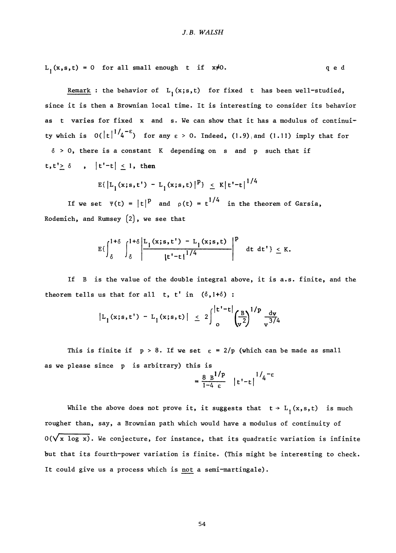$L_1(x,s,t) = 0$  for all small enough t if  $x \neq 0$ . q e d

Remark : the behavior of  $L_1(x;s,t)$  for fixed t has been well-studied, since it is then a Brownian local time. It is interesting to consider its behavior as t varies for fixed x and s. We can show that it has a modulus of continuity which is  $O(|t|^{1/4})$  for any  $\varepsilon > 0$ . Indeed,  $(1.9)$  and  $(1.11)$  imply that for  $\delta > 0$ , there is a constant K depending on s and p such that if t, t'  $\geq$  6 , |t'-t|  $\leq$  1, then

$$
E\{ |L_1(x;s,t') - L_1(x;s,t) |^p \} \leq K |t'-t|^{1/4}
$$

If we set  $\Psi(t) = |t|^p$  and  $\rho(t) = t^{1/4}$  in the theorem of Garsia, Rodemich, and Rumsey (2), we see that

$$
E\left\{\int_{\delta}^{1+\delta}\int_{\delta}^{1+\delta}\left|\frac{L_1(x;s,t')-L_1(x;s,t)}{|t'-t|^{1/4}}\right|^p \right\} dt dt' \right\} \leq K.
$$

If B is the value of the double integral above, it is a.s. finite, and the theorem tells us that for all  $t$ ,  $t'$  in  $(\delta, 1+\delta)$ :

$$
|L_1(x;s,t') - L_1(x;s,t)| \leq 2 \int_0^{|t'-t|} \left(\frac{B}{v^2}\right)^{1/p} \frac{dv}{v^{3/4}}
$$

This is finite if  $p > 8$ . If we set  $\epsilon = 2/p$  (which can be made as small as we please since p is arbitrary) this is

$$
= \frac{8 \text{ B}^{1/p}}{1-4 \epsilon} |t'-t|^{1/q-\epsilon}
$$

While the above does not prove it, it suggests that  $t \rightarrow L_1(x,s,t)$  is much rougher than, say, a Brownian path which would have a modulus of continuity of  $0(\sqrt{x \log x})$ . We conjecture, for instance, that its quadratic variation is infinite but that its fourth-power variation is finite. (This might be interesting to check. It could give us a process which is not a semi-martingale).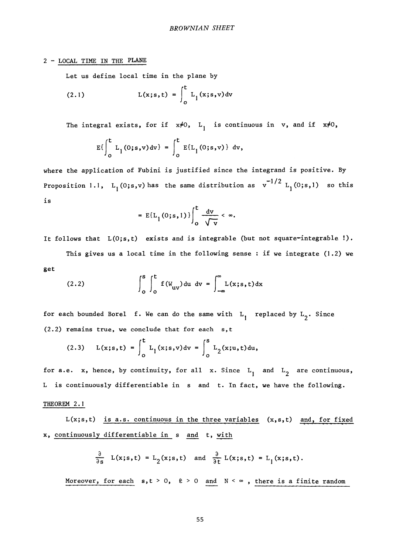### *2 ~* LOCAL TIME IN THE PLANE

Let us define local time in the plane by

(2.1) 
$$
L(x; s, t) = \int_0^t L_1(x; s, v) dv
$$

The integral exists, for if  $x\neq 0$ , L<sub>1</sub> is continuous in v, and if  $x\neq 0$ ,

$$
E\left\{\int_{0}^{t} L_{1}(0; s, v) dv\right\} = \int_{0}^{t} E\{L_{1}(0; s, v)\} dv,
$$

where the application of Fubini is justified since the integrand is positive. By  $^{-1/2}$   $_{\rm r}$  $\frac{1}{2}$   $\frac{1}{2}$  (0)s,  $\frac{1}{2}$  the same distribution as  $\frac{1}{2}$  (0;s), so that is

$$
= \mathbb{E}\{\mathbf{L}_1(0; s, 1)\}\bigg|_0^{\mathbf{t}} \frac{d\mathbf{v}}{\sqrt{\mathbf{v}}} < \infty.
$$

It follows that  $L(0; s, t)$  exists and is integrable (but not square-integrable !).

This gives us a local time in the following sense : if we integrate (1.2) we get

(2.2) 
$$
\int_{0}^{s} \int_{0}^{t} f(W_{uv}) du dv = \int_{-\infty}^{\infty} L(x; s, t) dx
$$

for each bounded Borel f. We can do the same with  $L$ , replaced by  $L$ <sub>2</sub>. Since (2.2) remains true, we conclude that for each s,t

(2.3) 
$$
L(x; s, t) = \int_0^t L_1(x; s, v) dv = \int_0^s L_2(x; u, t) du
$$
,

for a.e. x, hence, by continuity, for all x. Since  $L_1$  and  $L_2$  are continuous, L is continuously differentiable in s and t. In fact, we have the following.

### THEOREM 2.1

 $L(x; s, t)$  is a.s. continuous in the three variables  $(x, s, t)$  and, for fixed x, continuously differentiable in s and t, with

$$
\frac{\partial}{\partial s} L(x;s,t) = L_2(x;s,t) \text{ and } \frac{\partial}{\partial t} L(x;s,t) = L_1(x;s,t).
$$

Moreover, for each  $s, t > 0$ ,  $\ell > 0$  and  $N < \infty$ , there is a finite random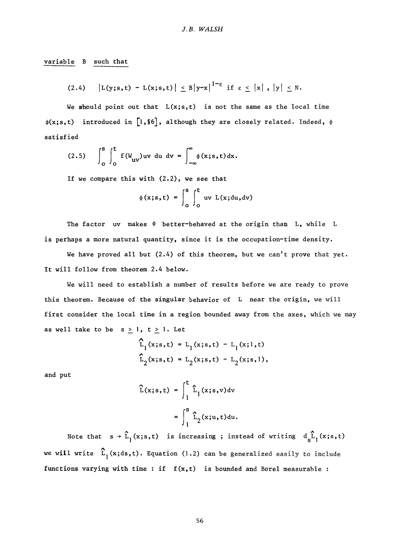variable B such that

$$
(2.4) \qquad |L(y;s,t) - L(x;s,t)| \leq B |y-x|^{1-\epsilon} \text{ if } \epsilon \leq |x|, |y| \leq N.
$$

We should point out that  $L(x; s, t)$  is not the same as the local time  $\phi(x; s, t)$  introduced in [1, §6], although they are closely related. Indeed,  $\phi$ satisfied

$$
(2.5) \qquad \int_0^s \int_0^t f(W_{uv}) uv \, du \, dv = \int_{-\infty}^\infty \phi(x; s, t) dx.
$$

If we compare this with (2.2), we see that

$$
\phi(x; s, t) = \int_0^s \int_0^t uv \ L(x; du, dv)
$$

The factor uv makes  $\phi$  better-behaved at the origin than L, while L is perhaps a more natural quantity, since it is the occupation-time density.

We have proved all but  $(2.4)$  of this theorem, but we can't prove that yet. It will follow from theorem 2.4 below.

We will need to establish a number of results before we are ready to prove this theorem. Because of the singular behavior of L near the origin, we will first consider the local time in a region bounded away from the axes, which we may as well take to be  $s \ge 1$ ,  $t \ge 1$ . Let

$$
\hat{L}_1(x;s,t) = L_1(x;s,t) - L_1(x;1,t)
$$
  

$$
\hat{L}_2(x;s,t) = L_2(x;s,t) - L_2(x;s,1),
$$

and put

$$
\hat{L}(x;s,t) = \int_{1}^{t} \hat{L}_1(x;s,v) dv
$$

$$
= \int_{1}^{s} \hat{L}_2(x;u,t) du.
$$

Note that  $s \rightarrow \hat{L}_1(x;s,t)$  is increasing; instead of writing  $d_s \hat{L}_1(x;s,t)$ **A**  will write  $L$  will write  $L$  to include easily to include easily to include easily to include easily to include easily to include  $\alpha$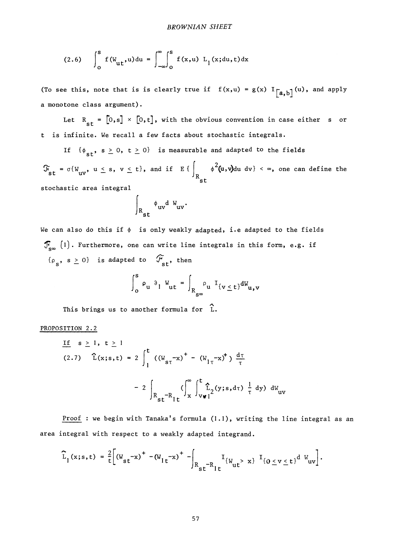(2.6) 
$$
\int_{0}^{s} f(W_{ut}, u) du = \int_{-\infty}^{\infty} \int_{0}^{s} f(x, u) L_{1}(x; du, t) dx
$$

(To see this, note that is is clearly true if  $f(x,u) = g(x) I_{a,b}(u)$ , and apply a monotone class argument).

Let  $R_{st} = [0, s] \times [0, t]$ , with the obvious convention in case either s or t is infinite. We recall a few facts about stochastic integrals.

If  $\{\phi_{st}, s \ge 0, t \ge 0\}$  is measurable and adapted to the fields

 $\mathcal{F}_{st} = \sigma\{W_{uv}, u \leq s, v \leq t\}$ , and if E $\{\}$   $\phi^*(u, v)$ du dv $\}$  <  $\infty$ , one can define the st

stochastic area integral

$$
\Big|_{R_{st}} \phi_{uv} d W_{uv}.
$$

We can also do this if  $\phi$  is only weakly adapted, i.e adapted to the fields  $\mathcal{F}_{\mathbf{g}_{\infty}}$  (1). Furthermore, one can write line integrals in this form, e.g. if  ${\rho_s, s \ge 0}$  is adapted to  $\mathcal{L}_{st}$ , then

$$
\int_0^s \rho_u \partial_l W_{ut} = \int_{R_{s^{\infty}}} \rho_u I_{\{v \leq t\}} dW_{u,v}
$$

This brings us to another formula for L.

### PROPOSITION 2.2

$$
\frac{If}{(2.7)} \quad \hat{L}(x; s, t) = 2 \int_{1}^{t} ((W_{s\tau} - x)^{+} - (W_{1\tau} - x)^{+}) \frac{d\tau}{\tau}
$$

$$
- 2 \int_{R_{st} - R_{1t}}^{0} (\int_{x}^{\infty} \int_{v \, \mathbf{v} \, 1}^{t} \hat{L}_{2}(y; s, d\tau) \frac{1}{\tau} dy) \, dW_{uv}
$$

Proof : we begin with Tanaka's formula (1.1), writing the line integral as an area integral with respect to a weakly adapted integrand.

$$
\widehat{L}_1(x;s,t) = \frac{2}{t} \left[ \left( W_{st} - x \right)^+ - \left( W_{1t} - x \right)^+ \right. \\ \left. - \left( W_{1t} - x \right)^+ \right] \left[ \left( W_{1t} - x \right)^+ \right] \left[ \left( W_{1t} - x \right)^+ \right] \left[ \left( W_{1t} - x \right)^+ \right] \left[ \left( W_{1t} - x \right)^+ \right] \right].
$$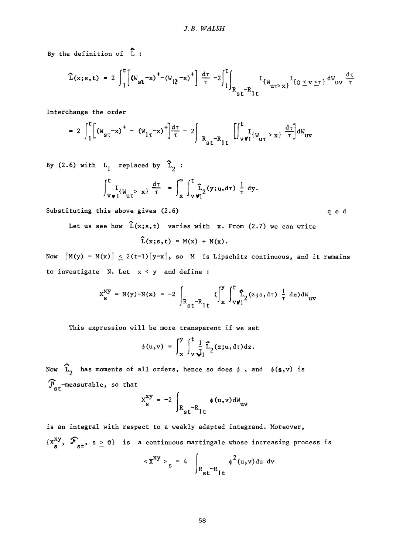By the definition of  $\hat{L}$ :

$$
\hat{L}(x;s,t) = 2 \int_{1}^{t} \left[ (W_{st}^{-}x)^{+} - (W_{12}^{-}x)^{+} \right] \frac{d\tau}{\tau} - 2 \int_{1}^{t} \int_{R_{st}^{-}R_{1t}} I_{\{W_{u\tau > x\}}^{+}} I_{\{0 \leq v \leq \tau\}} dW_{uv} \frac{d\tau}{\tau}
$$

Interchange the order

$$
= 2 \int_{1}^{t} \left[ (W_{s\tau} - x)^{+} - (W_{1\tau} - x)^{+} \right] \frac{d\tau}{\tau} - 2 \int_{R_{st} - R_{1t}} \left[ \int_{v \, \mathbf{v}_{1}}^{t} \left[ W_{u\tau} > x \right] \frac{d\tau}{\tau} \right] \, \mathrm{d}W_{uv}
$$

By (2.6) with  $L_1$  replaced by  $\hat{L}_2$ :

$$
\int_{\mathbf{v}\,\mathbf{v}\,1}^{\mathbf{t}}[W_{\mathbf{u}\tau} > x] \frac{d\tau}{\tau} = \int_{x}^{\infty} \int_{\mathbf{v}\,\mathbf{v}\,1}^{\mathbf{t}} \hat{\mathbf{L}}_2(y;u,\mathrm{d}\tau) \frac{1}{\tau} dy.
$$

Substituting this above gives (2.6) and the control of equal of equal of equal of equal of equal of equal of equal of equal of equal of equal of equal of equal of equal of equal of equal of equal of equal of equal of equal

Let us see how  $\hat{L}(x; s, t)$  varies with x. From (2.7) we can write

$$
\widehat{L}(x;s,t) = M(x) + N(x).
$$

Now  $|M(y) - M(x)| \le 2(t-1)|y-x|$ , so M is Lipschitz continuous, and it remains to investigate N. Let  $x < y$  and define :

$$
X_{s}^{xy} = N(y) - N(x) = -2 \int_{R_{st}-R_{lt}} (\int_{x}^{y} \int_{v \, \mathbf{v}}^{t} \mathbf{\hat{L}}_{2}(z; s, d\tau) \frac{1}{\tau} dz) dW_{uv}
$$

This expression will be more transparent if we set

$$
\phi(u,v) = \int_{x}^{y} \int_{v}^{t} \frac{1}{\tau_{1}} \widehat{L}_{2}(z;u,d\tau) dz.
$$

Now  $\hat{L}_2$  has moments of all orders, hence so does  $\phi$ , and  $\phi(s,v)$  is  $J_{\rm st}^{\prime}$ -measurable, so that

$$
X_{s}^{xy} = -2 \int_{R_{st}^{-R}1t} \phi(u,v) \, \mathrm{d}W_{uv}
$$

is an integral with respect to a weakly adapted integrand. Moreover,  $\{X^{\alpha,j}_\alpha, \mathcal{F}_{\alpha,j}, s \geq 0\}$  is a continuous martingale whose increasing process is

$$
\langle x^{xy} \rangle_{s} = 4 \int_{R_{st}^{-R}1t} \phi^{2}(u,v) \, du \, dv
$$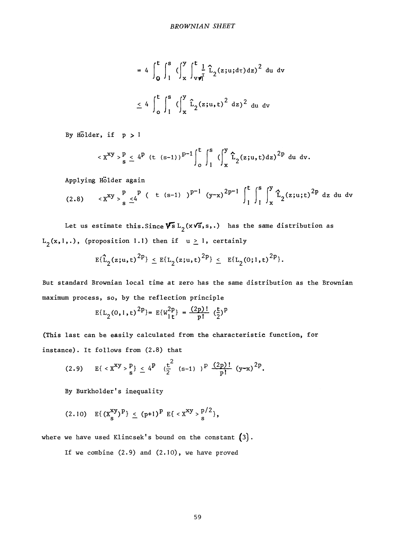$$
= 4 \int_{0}^{t} \int_{1}^{s} (\int_{x}^{y} \int_{v \cdot v}^{t} \hat{L}_{2}(z;u; d\tau) dz)^{2} du dv
$$
  

$$
\leq 4 \int_{0}^{t} \int_{1}^{s} (\int_{x}^{y} \hat{L}_{2}(z;u, t)^{2} dz)^{2} du dv
$$

By Hölder, if  $p > 1$ 

$$
\langle x^{xy} \rangle_{s}^{p} \leq 4^{p} (t (s-1))^{p-1} \int_{0}^{t} \int_{1}^{s} (\int_{x}^{y} \hat{L}_{2}(z;u,t)dz)^{2p} du dv.
$$

Applying Hölder again

(2.8) 
$$
\langle x^{xy} \rangle_{s}^{p} \leq 4^{p} (t^{(s-1)})^{p-1} (y-x)^{2p-1} \int_{1}^{t} \int_{1}^{s} \int_{x}^{y} \hat{L}_{2}(z;u;t)^{2p} dz du dv
$$

Let us estimate this. Since  $\sqrt{s} L_2(x \sqrt{s}, s, \cdot)$  has the same distribution as  $L_2(x,1,.)$ , (proposition 1.1) then if  $u \ge 1$ , certainly

$$
E{\hat{L}_2(z; u, t)}^{2p} \le E{L_2(z; u, t)}^{2p} \le E{L_2(0; 1, t)}^{2p}.
$$

But standard Brownian local time at zero has the same distribution as the Brownian maximum process, so, by the reflection principle

$$
E{L_2(0, 1, t)}^{2p} = E{W_{1t}^{2p}} = \frac{(2p)!}{p!} (\frac{t}{2})^p
$$

(This last can be easily calculated from the characteristic function, for instance). It follows from (2.8) that

(2.9) 
$$
E\{x^{\text{xy}} > \frac{p}{s}\}\le 4^p (\frac{t^2}{2} (s-1))^p \frac{(2p)!}{p!} (y-x)^{2p}.
$$

By Burkholder's inequality

$$
(2.10) \quad \mathrm{E}\{\,(x_{\mathrm{s}}^{xy})^p\} \,\leq\, (p+1)^p \, \mathrm{E}\{\, \, _{\mathrm{S}}^{p/2}\},
$$

where we have used Klincsek's bound on the constant  $(3)$ .

If we combine (2.9) and (2.10), we have proved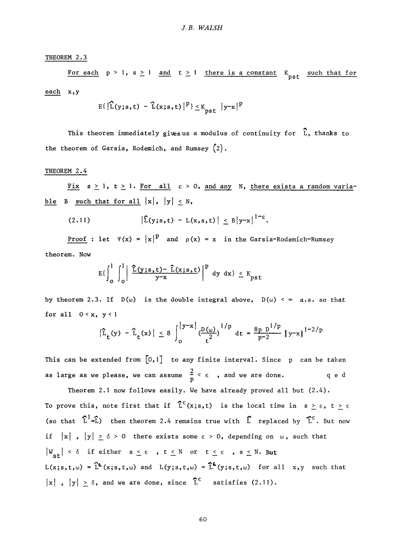THEOREM 2.3

For each  $p > 1$ ,  $s \ge 1$  and  $t \ge 1$  there is a constant  $K_{\text{pst}}$  such that for each x,y

$$
\mathrm{E}\{\left|\widehat{\mathbf{L}}(\mathbf{y};\mathbf{s},\mathbf{t}) - \widehat{\mathbf{L}}(\mathbf{x};\mathbf{s},\mathbf{t})\right|^{p}\} \leq K_{\mathbf{p}\mathbf{s}\mathbf{t}}\| \mathbf{y} - \mathbf{x} \|^p
$$

This theorem immediately givesus a modulus of continuity for  $\hat{L}$ , thanks to the theorem of Garsia, Rodemich, and Rumsey (2).

### THEOREM 2.4

Fix  $s \ge 1$ ,  $t \ge 1$ . For all  $\varepsilon > 0$ , and any N, there exists a random variable B such that for all  $|x|, |y| \le N$ ,

$$
(2.11) \qquad \qquad \left|\hat{L}(y;s,t)-L(x,s,t)\right| \leq B\left|y-x\right|^{1-\epsilon}.
$$

Proof : let  $\Psi(x) = |x|^p$  and  $\rho(x) = x$  in the Garsia-Rodemich-Rumsey theorem. Now

$$
E\{\int_0^1 \int_0^1 \left| \frac{\widehat{L}(y;s,t) - \widehat{L}(x;s,t)}{y-x} \right|^p dy dx \} \leq K_{\text{pst}}
$$

by theorem 2.3. If  $D(\omega)$  is the double integral above,  $D(\omega) < \infty$  a.s. so that for all 0 < x, y < **1** 

 $\mathbf{r} = \mathbf{r}$ 

$$
|\hat{L}_{t}(y) - \hat{L}_{t}(x)| \le 8 \int_{0}^{|y-x|} (\frac{D(\omega)}{t^2})^{1/p} dt = \frac{8p D^{1/p}}{p-2} |y-x|^{1-2/p}
$$

This can be extended from  $[0,1]$  to any finite interval. Since p can be taken as large as we please, we can assume  $\frac{2}{p} < \varepsilon$ , and we are done.  $q e d$ 

Theorem 2.1 now follows easily. We have already proved all but  $(2.4)$ . To prove this, note first that if  $\hat{L}^{\epsilon}(x; s, t)$  is the local time in  $s \geq \epsilon$ ,  $t \geq \epsilon$ (so that  $\hat{L}^1 = \hat{L}$ ) then theorem 2.4 remains true with  $\hat{L}$  replaced by  $\hat{L}^{\epsilon}$ . But now if  $|x|$ ,  $|y| \ge \delta > 0$  there exists some  $\epsilon > 0$ , depending on  $\omega$ , such that  $|W_{st}| < \delta$  if either  $s \leq \epsilon$  ,  $t \leq N$  or  $t \leq \epsilon$  ,  $s \leq N$  . But  $L(x; s, t, \omega) = \hat{L}^{\epsilon}(x; s, t, \omega)$  and  $L(y; s, t, \omega) = \hat{L}^{\epsilon}(y; s, t, \omega)$  for all x,y such that  $|\mathbf{x}|$  ,  $|\mathbf{y}| \geq \delta$ , and we are done, since L<sup>G</sup> satisfies (2.11).